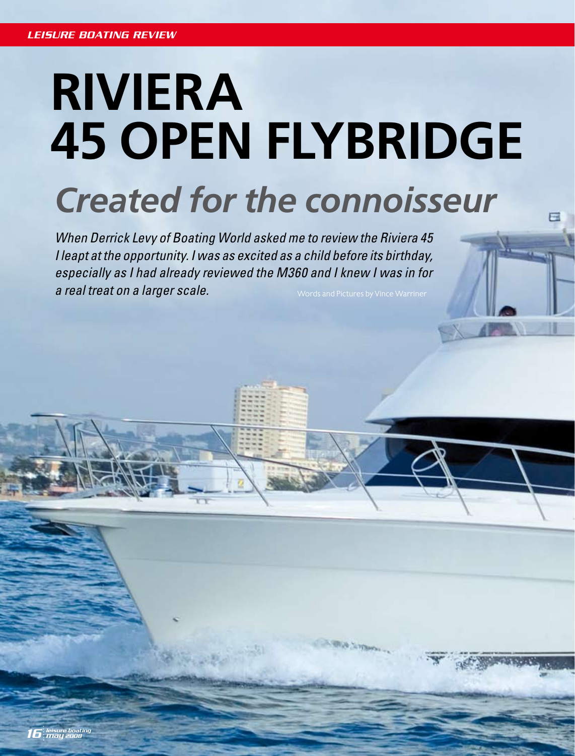# **RIVIERA 45 OPEN FLYBRIDGE** *Created for the connoisseur*

*When Derrick Levy of Boating World asked me to review the Riviera 45 I leapt at the opportunity. I was as excited as a child before its birthday, especially as I had already reviewed the M360 and I knew I was in for a real treat on a larger scale.*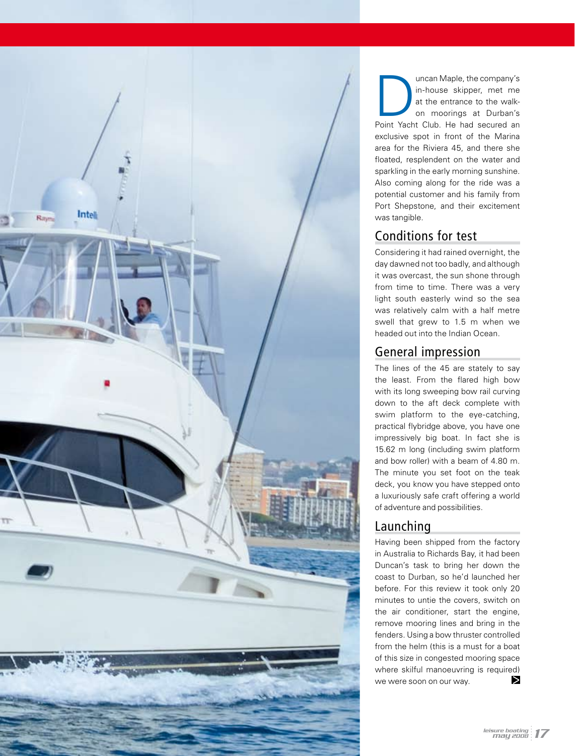

Im-house skipper, met me<br>
at the entrance to the walk-<br>
on moorings at Durban's<br>
Point Yacht Club. He had secured an in-house skipper, met me at the entrance to the walkon moorings at Durban's exclusive spot in front of the Marina area for the Riviera 45, and there she floated, resplendent on the water and sparkling in the early morning sunshine. Also coming along for the ride was a potential customer and his family from Port Shepstone, and their excitement was tangible.

# Conditions for test

Considering it had rained overnight, the day dawned not too badly, and although it was overcast, the sun shone through from time to time. There was a very light south easterly wind so the sea was relatively calm with a half metre swell that grew to 1.5 m when we headed out into the Indian Ocean.

# General impression

The lines of the 45 are stately to say the least. From the flared high bow with its long sweeping bow rail curving down to the aft deck complete with swim platform to the eye-catching, practical flybridge above, you have one impressively big boat. In fact she is 15.62 m long (including swim platform and bow roller) with a beam of 4.80 m. The minute you set foot on the teak deck, you know you have stepped onto a luxuriously safe craft offering a world of adventure and possibilities.

# Launching

Having been shipped from the factory in Australia to Richards Bay, it had been Duncan's task to bring her down the coast to Durban, so he'd launched her before. For this review it took only 20 minutes to untie the covers, switch on the air conditioner, start the engine, remove mooring lines and bring in the fenders. Using a bow thruster controlled from the helm (this is a must for a boat of this size in congested mooring space where skilful manoeuvring is required)  $\triangleright$ we were soon on our way.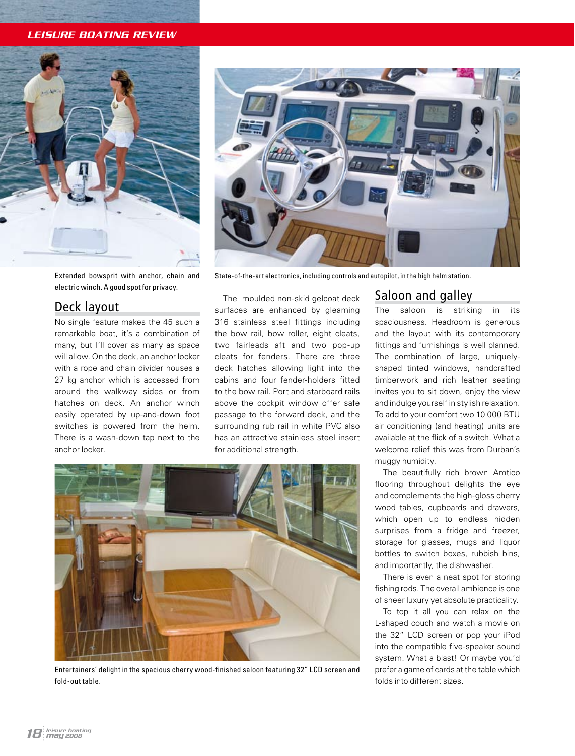*LEISURE BOATING REVIEW*



Extended bowsprit with anchor, chain and electric winch. A good spot for privacy.

## Deck layout

No single feature makes the 45 such a remarkable boat, it's a combination of many, but I'll cover as many as space will allow. On the deck, an anchor locker with a rope and chain divider houses a 27 kg anchor which is accessed from around the walkway sides or from hatches on deck. An anchor winch easily operated by up-and-down foot switches is powered from the helm. There is a wash-down tap next to the anchor locker.



State-of-the-art electronics, including controls and autopilot, in the high helm station.

The moulded non-skid gelcoat deck surfaces are enhanced by gleaming 316 stainless steel fittings including the bow rail, bow roller, eight cleats, two fairleads aft and two pop-up cleats for fenders. There are three deck hatches allowing light into the cabins and four fender-holders fitted to the bow rail. Port and starboard rails above the cockpit window offer safe passage to the forward deck, and the surrounding rub rail in white PVC also has an attractive stainless steel insert for additional strength.



Entertainers' delight in the spacious cherry wood-finished saloon featuring 32" LCD screen and fold-out table.

# Saloon and galley

The saloon is striking in its spaciousness. Headroom is generous and the layout with its contemporary fittings and furnishings is well planned. The combination of large, uniquelyshaped tinted windows, handcrafted timberwork and rich leather seating invites you to sit down, enjoy the view and indulge yourself in stylish relaxation. To add to your comfort two 10 000 BTU air conditioning (and heating) units are available at the flick of a switch. What a welcome relief this was from Durban's muggy humidity.

The beautifully rich brown Amtico flooring throughout delights the eye and complements the high-gloss cherry wood tables, cupboards and drawers, which open up to endless hidden surprises from a fridge and freezer, storage for glasses, mugs and liquor bottles to switch boxes, rubbish bins, and importantly, the dishwasher.

There is even a neat spot for storing fishing rods. The overall ambience is one of sheer luxury yet absolute practicality.

To top it all you can relax on the L-shaped couch and watch a movie on the 32" LCD screen or pop your iPod into the compatible five-speaker sound system. What a blast! Or maybe you'd prefer a game of cards at the table which folds into different sizes.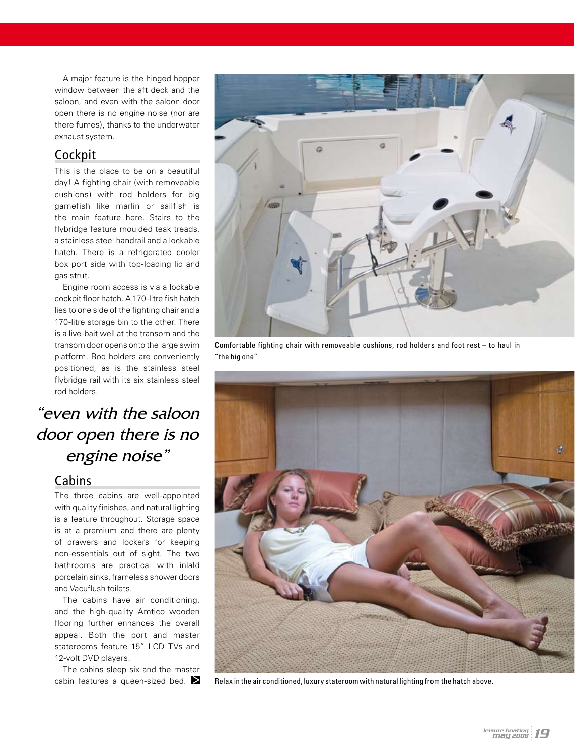A major feature is the hinged hopper window between the aft deck and the saloon, and even with the saloon door open there is no engine noise (nor are there fumes), thanks to the underwater exhaust system.

# **Cockpit**

This is the place to be on a beautiful day! A fighting chair (with removeable cushions) with rod holders for big gamefish like marlin or sailfish is the main feature here. Stairs to the flybridge feature moulded teak treads, a stainless steel handrail and a lockable hatch. There is a refrigerated cooler box port side with top-loading lid and gas strut.

Engine room access is via a lockable cockpit floor hatch. A 170-litre fish hatch lies to one side of the fighting chair and a 170-litre storage bin to the other. There is a live-bait well at the transom and the transom door opens onto the large swim platform. Rod holders are conveniently positioned, as is the stainless steel flybridge rail with its six stainless steel rod holders.

# "even with the saloon door open there is no engine noise"

## **Cabins**

The three cabins are well-appointed with quality finishes, and natural lighting is a feature throughout. Storage space is at a premium and there are plenty of drawers and lockers for keeping non-essentials out of sight. The two bathrooms are practical with inlaId porcelain sinks, frameless shower doors and Vacuflush toilets.

The cabins have air conditioning, and the high-quality Amtico wooden flooring further enhances the overall appeal. Both the port and master staterooms feature 15" LCD TVs and 12-volt DVD players.

The cabins sleep six and the master cabin features a queen-sized bed.  $\sum$ 



Comfortable fighting chair with removeable cushions, rod holders and foot rest – to haul in "the big one"



Relax in the air conditioned, luxury stateroom with natural lighting from the hatch above.